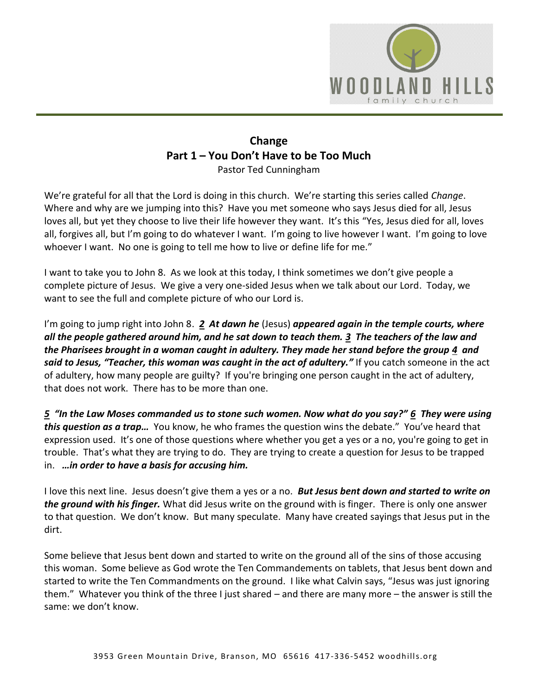

## **Change Part 1 – You Don't Have to be Too Much** Pastor Ted Cunningham

We're grateful for all that the Lord is doing in this church. We're starting this series called *Change*. Where and why are we jumping into this? Have you met someone who says Jesus died for all, Jesus loves all, but yet they choose to live their life however they want. It's this "Yes, Jesus died for all, loves all, forgives all, but I'm going to do whatever I want. I'm going to live however I want. I'm going to love whoever I want. No one is going to tell me how to live or define life for me."

I want to take you to John 8. As we look at this today, I think sometimes we don't give people a complete picture of Jesus. We give a very one-sided Jesus when we talk about our Lord. Today, we want to see the full and complete picture of who our Lord is.

I'm going to jump right into John 8. *[2](https://www.studylight.org/desk/?q=joh%208:2&t1=en_niv&sr=1) At dawn he* (Jesus) *appeared again in the temple courts, where all the people gathered around him, and he sat down to teach them. [3](https://www.studylight.org/desk/?q=joh%208:3&t1=en_niv&sr=1) The teachers of the law and the Pharisees brought in a woman caught in adultery. They made her stand before the group [4](https://www.studylight.org/desk/?q=joh%208:4&t1=en_niv&sr=1) and said to Jesus, "Teacher, this woman was caught in the act of adultery."* If you catch someone in the act of adultery, how many people are guilty? If you're bringing one person caught in the act of adultery, that does not work. There has to be more than one.

*[5](https://www.studylight.org/desk/?q=joh%208:5&t1=en_niv&sr=1) "In the Law Moses commanded us to stone such women. Now what do you say?" [6](https://www.studylight.org/desk/?q=joh%208:6&t1=en_niv&sr=1) They were using this question as a trap…* You know, he who frames the question wins the debate." You've heard that expression used. It's one of those questions where whether you get a yes or a no, you're going to get in trouble. That's what they are trying to do. They are trying to create a question for Jesus to be trapped in. *…in order to have a basis for accusing him.* 

I love this next line. Jesus doesn't give them a yes or a no. *But Jesus bent down and started to write on the ground with his finger.* What did Jesus write on the ground with is finger. There is only one answer to that question. We don't know. But many speculate. Many have created sayings that Jesus put in the dirt.

Some believe that Jesus bent down and started to write on the ground all of the sins of those accusing this woman. Some believe as God wrote the Ten Commandements on tablets, that Jesus bent down and started to write the Ten Commandments on the ground. I like what Calvin says, "Jesus was just ignoring them." Whatever you think of the three I just shared – and there are many more – the answer is still the same: we don't know.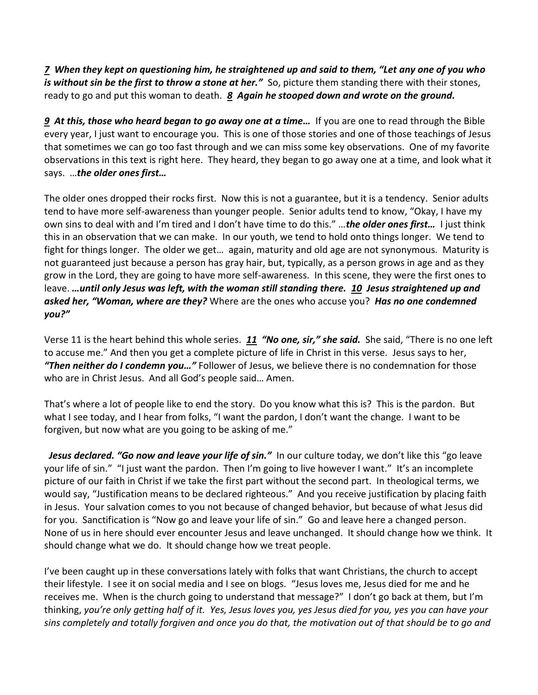*[7](https://www.studylight.org/desk/?q=joh%208:7&t1=en_niv&sr=1) When they kept on questioning him, he straightened up and said to them, "Let any one of you who is without sin be the first to throw a stone at her."* So, picture them standing there with their stones, ready to go and put this woman to death. *[8](https://www.studylight.org/desk/?q=joh%208:8&t1=en_niv&sr=1) Again he stooped down and wrote on the ground.* 

*[9](https://www.studylight.org/desk/?q=joh%208:9&t1=en_niv&sr=1) At this, those who heard began to go away one at a time…* If you are one to read through the Bible every year, I just want to encourage you. This is one of those stories and one of those teachings of Jesus that sometimes we can go too fast through and we can miss some key observations. One of my favorite observations in this text is right here. They heard, they began to go away one at a time, and look what it says. …*the older ones first…*

The older ones dropped their rocks first. Now this is not a guarantee, but it is a tendency. Senior adults tend to have more self-awareness than younger people. Senior adults tend to know, "Okay, I have my own sins to deal with and I'm tired and I don't have time to do this." …*the older ones first…* I just think this in an observation that we can make. In our youth, we tend to hold onto things longer. We tend to fight for things longer. The older we get… again, maturity and old age are not synonymous. Maturity is not guaranteed just because a person has gray hair, but, typically, as a person grows in age and as they grow in the Lord, they are going to have more self-awareness. In this scene, they were the first ones to leave. *…until only Jesus was left, with the woman still standing there. [10](https://www.studylight.org/desk/?q=joh%208:10&t1=en_niv&sr=1) Jesus straightened up and asked her, "Woman, where are they?* Where are the ones who accuse you? *Has no one condemned you?"*

Verse 11 is the heart behind this whole series. *[11](https://www.studylight.org/desk/?q=joh%208:11&t1=en_niv&sr=1) "No one, sir," she said.* She said, "There is no one left to accuse me." And then you get a complete picture of life in Christ in this verse. Jesus says to her, *"Then neither do I condemn you…"* Follower of Jesus, we believe there is no condemnation for those who are in Christ Jesus. And all God's people said… Amen.

That's where a lot of people like to end the story. Do you know what this is? This is the pardon. But what I see today, and I hear from folks, "I want the pardon, I don't want the change. I want to be forgiven, but now what are you going to be asking of me."

 *Jesus declared. "Go now and leave your life of sin."* In our culture today, we don't like this "go leave your life of sin." "I just want the pardon. Then I'm going to live however I want." It's an incomplete picture of our faith in Christ if we take the first part without the second part. In theological terms, we would say, "Justification means to be declared righteous." And you receive justification by placing faith in Jesus. Your salvation comes to you not because of changed behavior, but because of what Jesus did for you. Sanctification is "Now go and leave your life of sin." Go and leave here a changed person. None of us in here should ever encounter Jesus and leave unchanged. It should change how we think. It should change what we do. It should change how we treat people.

I've been caught up in these conversations lately with folks that want Christians, the church to accept their lifestyle. I see it on social media and I see on blogs. "Jesus loves me, Jesus died for me and he receives me. When is the church going to understand that message?" I don't go back at them, but I'm thinking, *you're only getting half of it. Yes, Jesus loves you, yes Jesus died for you, yes you can have your sins completely and totally forgiven and once you do that, the motivation out of that should be to go and*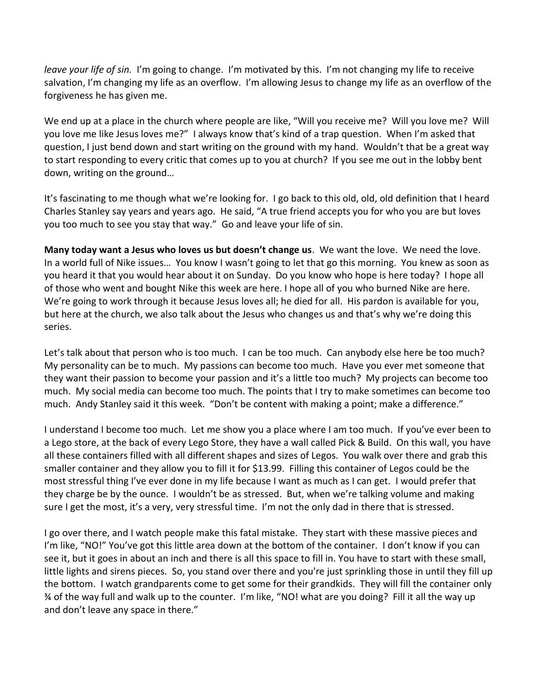*leave your life of sin.* I'm going to change. I'm motivated by this. I'm not changing my life to receive salvation, I'm changing my life as an overflow. I'm allowing Jesus to change my life as an overflow of the forgiveness he has given me.

We end up at a place in the church where people are like, "Will you receive me? Will you love me? Will you love me like Jesus loves me?" I always know that's kind of a trap question. When I'm asked that question, I just bend down and start writing on the ground with my hand. Wouldn't that be a great way to start responding to every critic that comes up to you at church? If you see me out in the lobby bent down, writing on the ground…

It's fascinating to me though what we're looking for. I go back to this old, old, old definition that I heard Charles Stanley say years and years ago. He said, "A true friend accepts you for who you are but loves you too much to see you stay that way." Go and leave your life of sin.

**Many today want a Jesus who loves us but doesn't change us**. We want the love. We need the love. In a world full of Nike issues… You know I wasn't going to let that go this morning. You knew as soon as you heard it that you would hear about it on Sunday. Do you know who hope is here today? I hope all of those who went and bought Nike this week are here. I hope all of you who burned Nike are here. We're going to work through it because Jesus loves all; he died for all. His pardon is available for you, but here at the church, we also talk about the Jesus who changes us and that's why we're doing this series.

Let's talk about that person who is too much. I can be too much. Can anybody else here be too much? My personality can be to much. My passions can become too much. Have you ever met someone that they want their passion to become your passion and it's a little too much? My projects can become too much. My social media can become too much. The points that I try to make sometimes can become too much. Andy Stanley said it this week. "Don't be content with making a point; make a difference."

I understand I become too much. Let me show you a place where I am too much. If you've ever been to a Lego store, at the back of every Lego Store, they have a wall called Pick & Build. On this wall, you have all these containers filled with all different shapes and sizes of Legos. You walk over there and grab this smaller container and they allow you to fill it for \$13.99. Filling this container of Legos could be the most stressful thing I've ever done in my life because I want as much as I can get. I would prefer that they charge be by the ounce. I wouldn't be as stressed. But, when we're talking volume and making sure I get the most, it's a very, very stressful time. I'm not the only dad in there that is stressed.

I go over there, and I watch people make this fatal mistake. They start with these massive pieces and I'm like, "NO!" You've got this little area down at the bottom of the container. I don't know if you can see it, but it goes in about an inch and there is all this space to fill in. You have to start with these small, little lights and sirens pieces. So, you stand over there and you're just sprinkling those in until they fill up the bottom. I watch grandparents come to get some for their grandkids. They will fill the container only ¾ of the way full and walk up to the counter. I'm like, "NO! what are you doing? Fill it all the way up and don't leave any space in there."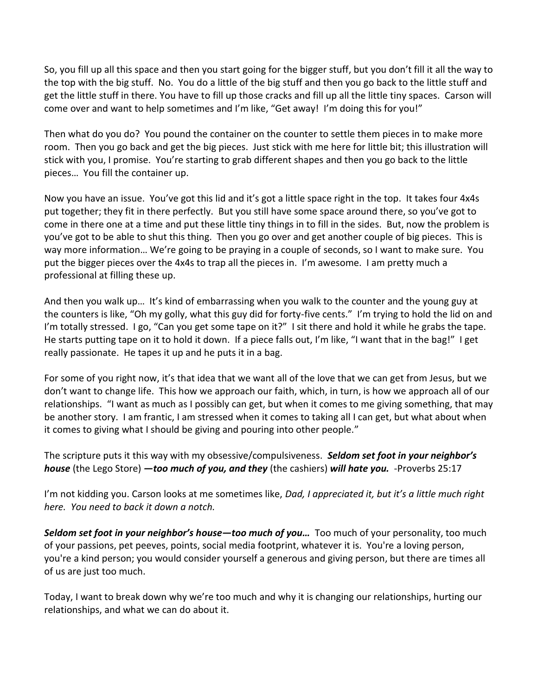So, you fill up all this space and then you start going for the bigger stuff, but you don't fill it all the way to the top with the big stuff. No. You do a little of the big stuff and then you go back to the little stuff and get the little stuff in there. You have to fill up those cracks and fill up all the little tiny spaces. Carson will come over and want to help sometimes and I'm like, "Get away! I'm doing this for you!"

Then what do you do? You pound the container on the counter to settle them pieces in to make more room. Then you go back and get the big pieces. Just stick with me here for little bit; this illustration will stick with you, I promise. You're starting to grab different shapes and then you go back to the little pieces… You fill the container up.

Now you have an issue. You've got this lid and it's got a little space right in the top. It takes four 4x4s put together; they fit in there perfectly. But you still have some space around there, so you've got to come in there one at a time and put these little tiny things in to fill in the sides. But, now the problem is you've got to be able to shut this thing. Then you go over and get another couple of big pieces. This is way more information… We're going to be praying in a couple of seconds, so I want to make sure. You put the bigger pieces over the 4x4s to trap all the pieces in. I'm awesome. I am pretty much a professional at filling these up.

And then you walk up… It's kind of embarrassing when you walk to the counter and the young guy at the counters is like, "Oh my golly, what this guy did for forty-five cents." I'm trying to hold the lid on and I'm totally stressed. I go, "Can you get some tape on it?" I sit there and hold it while he grabs the tape. He starts putting tape on it to hold it down. If a piece falls out, I'm like, "I want that in the bag!" I get really passionate. He tapes it up and he puts it in a bag.

For some of you right now, it's that idea that we want all of the love that we can get from Jesus, but we don't want to change life. This how we approach our faith, which, in turn, is how we approach all of our relationships. "I want as much as I possibly can get, but when it comes to me giving something, that may be another story. I am frantic, I am stressed when it comes to taking all I can get, but what about when it comes to giving what I should be giving and pouring into other people."

The scripture puts it this way with my obsessive/compulsiveness. *Seldom set foot in your neighbor's house* (the Lego Store) *—too much of you, and they* (the cashiers) *will hate you.* -Proverbs 25:17

I'm not kidding you. Carson looks at me sometimes like, *Dad, I appreciated it, but it's a little much right here. You need to back it down a notch.* 

*Seldom set foot in your neighbor's house—too much of you…* Too much of your personality, too much of your passions, pet peeves, points, social media footprint, whatever it is. You're a loving person, you're a kind person; you would consider yourself a generous and giving person, but there are times all of us are just too much.

Today, I want to break down why we're too much and why it is changing our relationships, hurting our relationships, and what we can do about it.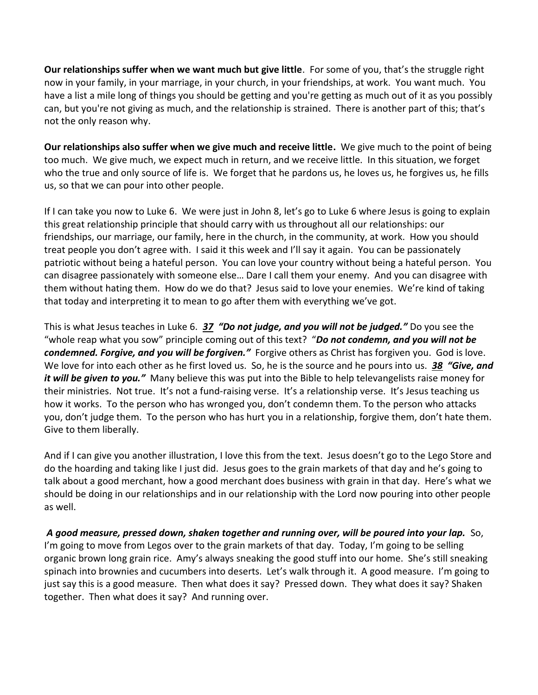**Our relationships suffer when we want much but give little**. For some of you, that's the struggle right now in your family, in your marriage, in your church, in your friendships, at work. You want much. You have a list a mile long of things you should be getting and you're getting as much out of it as you possibly can, but you're not giving as much, and the relationship is strained. There is another part of this; that's not the only reason why.

**Our relationships also suffer when we give much and receive little.** We give much to the point of being too much. We give much, we expect much in return, and we receive little. In this situation, we forget who the true and only source of life is. We forget that he pardons us, he loves us, he forgives us, he fills us, so that we can pour into other people.

If I can take you now to Luke 6. We were just in John 8, let's go to Luke 6 where Jesus is going to explain this great relationship principle that should carry with us throughout all our relationships: our friendships, our marriage, our family, here in the church, in the community, at work. How you should treat people you don't agree with. I said it this week and I'll say it again. You can be passionately patriotic without being a hateful person. You can love your country without being a hateful person. You can disagree passionately with someone else… Dare I call them your enemy. And you can disagree with them without hating them. How do we do that? Jesus said to love your enemies. We're kind of taking that today and interpreting it to mean to go after them with everything we've got.

This is what Jesus teaches in Luke 6. *[37](https://www.studylight.org/desk/?q=lu%206:37&t1=en_niv&sr=1) "Do not judge, and you will not be judged."* Do you see the "whole reap what you sow" principle coming out of this text? "*Do not condemn, and you will not be condemned. Forgive, and you will be forgiven."* Forgive others as Christ has forgiven you. God is love. We love for into each other as he first loved us. So, he is the source and he pours into us. *[38](https://www.studylight.org/desk/?q=lu%206:38&t1=en_niv&sr=1) "Give, and it will be given to you."* Many believe this was put into the Bible to help televangelists raise money for their ministries. Not true. It's not a fund-raising verse. It's a relationship verse. It's Jesus teaching us how it works. To the person who has wronged you, don't condemn them. To the person who attacks you, don't judge them. To the person who has hurt you in a relationship, forgive them, don't hate them. Give to them liberally.

And if I can give you another illustration, I love this from the text. Jesus doesn't go to the Lego Store and do the hoarding and taking like I just did. Jesus goes to the grain markets of that day and he's going to talk about a good merchant, how a good merchant does business with grain in that day. Here's what we should be doing in our relationships and in our relationship with the Lord now pouring into other people as well.

 *A good measure, pressed down, shaken together and running over, will be poured into your lap.* So, I'm going to move from Legos over to the grain markets of that day. Today, I'm going to be selling organic brown long grain rice. Amy's always sneaking the good stuff into our home. She's still sneaking spinach into brownies and cucumbers into deserts. Let's walk through it. A good measure. I'm going to just say this is a good measure. Then what does it say? Pressed down. They what does it say? Shaken together. Then what does it say? And running over.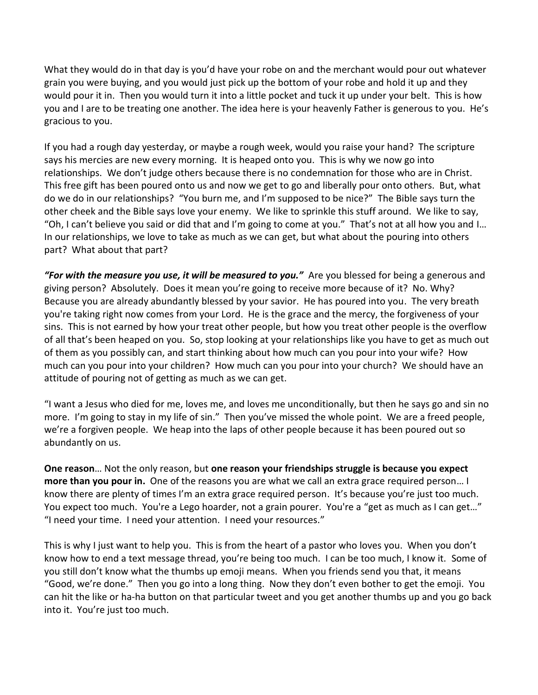What they would do in that day is you'd have your robe on and the merchant would pour out whatever grain you were buying, and you would just pick up the bottom of your robe and hold it up and they would pour it in. Then you would turn it into a little pocket and tuck it up under your belt. This is how you and I are to be treating one another. The idea here is your heavenly Father is generous to you. He's gracious to you.

If you had a rough day yesterday, or maybe a rough week, would you raise your hand? The scripture says his mercies are new every morning. It is heaped onto you. This is why we now go into relationships. We don't judge others because there is no condemnation for those who are in Christ. This free gift has been poured onto us and now we get to go and liberally pour onto others. But, what do we do in our relationships? "You burn me, and I'm supposed to be nice?" The Bible says turn the other cheek and the Bible says love your enemy. We like to sprinkle this stuff around. We like to say, "Oh, I can't believe you said or did that and I'm going to come at you." That's not at all how you and I… In our relationships, we love to take as much as we can get, but what about the pouring into others part? What about that part?

*"For with the measure you use, it will be measured to you."* Are you blessed for being a generous and giving person? Absolutely. Does it mean you're going to receive more because of it? No. Why? Because you are already abundantly blessed by your savior. He has poured into you. The very breath you're taking right now comes from your Lord. He is the grace and the mercy, the forgiveness of your sins. This is not earned by how your treat other people, but how you treat other people is the overflow of all that's been heaped on you. So, stop looking at your relationships like you have to get as much out of them as you possibly can, and start thinking about how much can you pour into your wife? How much can you pour into your children? How much can you pour into your church? We should have an attitude of pouring not of getting as much as we can get.

"I want a Jesus who died for me, loves me, and loves me unconditionally, but then he says go and sin no more. I'm going to stay in my life of sin." Then you've missed the whole point. We are a freed people, we're a forgiven people. We heap into the laps of other people because it has been poured out so abundantly on us.

**One reason**… Not the only reason, but **one reason your friendships struggle is because you expect more than you pour in.** One of the reasons you are what we call an extra grace required person… I know there are plenty of times I'm an extra grace required person. It's because you're just too much. You expect too much. You're a Lego hoarder, not a grain pourer. You're a "get as much as I can get…" "I need your time. I need your attention. I need your resources."

This is why I just want to help you. This is from the heart of a pastor who loves you. When you don't know how to end a text message thread, you're being too much. I can be too much, I know it. Some of you still don't know what the thumbs up emoji means. When you friends send you that, it means "Good, we're done." Then you go into a long thing. Now they don't even bother to get the emoji. You can hit the like or ha-ha button on that particular tweet and you get another thumbs up and you go back into it. You're just too much.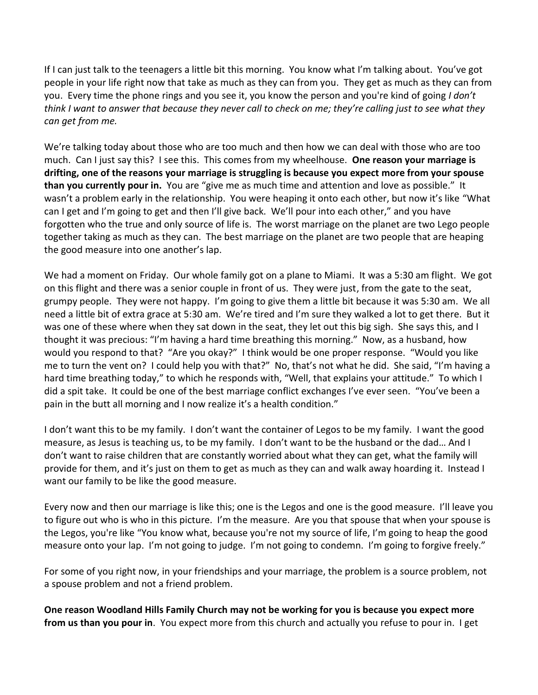If I can just talk to the teenagers a little bit this morning. You know what I'm talking about. You've got people in your life right now that take as much as they can from you. They get as much as they can from you. Every time the phone rings and you see it, you know the person and you're kind of going *I don't think I want to answer that because they never call to check on me; they're calling just to see what they can get from me.* 

We're talking today about those who are too much and then how we can deal with those who are too much. Can I just say this? I see this. This comes from my wheelhouse. **One reason your marriage is drifting, one of the reasons your marriage is struggling is because you expect more from your spouse than you currently pour in.** You are "give me as much time and attention and love as possible." It wasn't a problem early in the relationship. You were heaping it onto each other, but now it's like "What can I get and I'm going to get and then I'll give back. We'll pour into each other," and you have forgotten who the true and only source of life is. The worst marriage on the planet are two Lego people together taking as much as they can. The best marriage on the planet are two people that are heaping the good measure into one another's lap.

We had a moment on Friday. Our whole family got on a plane to Miami. It was a 5:30 am flight. We got on this flight and there was a senior couple in front of us. They were just, from the gate to the seat, grumpy people. They were not happy. I'm going to give them a little bit because it was 5:30 am. We all need a little bit of extra grace at 5:30 am. We're tired and I'm sure they walked a lot to get there. But it was one of these where when they sat down in the seat, they let out this big sigh. She says this, and I thought it was precious: "I'm having a hard time breathing this morning." Now, as a husband, how would you respond to that? "Are you okay?" I think would be one proper response. "Would you like me to turn the vent on? I could help you with that?" No, that's not what he did. She said, "I'm having a hard time breathing today," to which he responds with, "Well, that explains your attitude." To which I did a spit take. It could be one of the best marriage conflict exchanges I've ever seen. "You've been a pain in the butt all morning and I now realize it's a health condition."

I don't want this to be my family. I don't want the container of Legos to be my family. I want the good measure, as Jesus is teaching us, to be my family. I don't want to be the husband or the dad… And I don't want to raise children that are constantly worried about what they can get, what the family will provide for them, and it's just on them to get as much as they can and walk away hoarding it. Instead I want our family to be like the good measure.

Every now and then our marriage is like this; one is the Legos and one is the good measure. I'll leave you to figure out who is who in this picture. I'm the measure. Are you that spouse that when your spouse is the Legos, you're like "You know what, because you're not my source of life, I'm going to heap the good measure onto your lap. I'm not going to judge. I'm not going to condemn. I'm going to forgive freely."

For some of you right now, in your friendships and your marriage, the problem is a source problem, not a spouse problem and not a friend problem.

**One reason Woodland Hills Family Church may not be working for you is because you expect more from us than you pour in**. You expect more from this church and actually you refuse to pour in. I get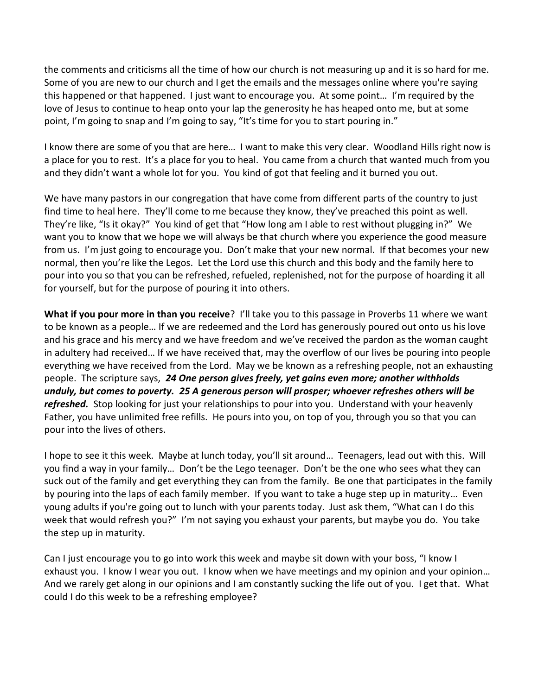the comments and criticisms all the time of how our church is not measuring up and it is so hard for me. Some of you are new to our church and I get the emails and the messages online where you're saying this happened or that happened. I just want to encourage you. At some point… I'm required by the love of Jesus to continue to heap onto your lap the generosity he has heaped onto me, but at some point, I'm going to snap and I'm going to say, "It's time for you to start pouring in."

I know there are some of you that are here… I want to make this very clear. Woodland Hills right now is a place for you to rest. It's a place for you to heal. You came from a church that wanted much from you and they didn't want a whole lot for you. You kind of got that feeling and it burned you out.

We have many pastors in our congregation that have come from different parts of the country to just find time to heal here. They'll come to me because they know, they've preached this point as well. They're like, "Is it okay?" You kind of get that "How long am I able to rest without plugging in?" We want you to know that we hope we will always be that church where you experience the good measure from us. I'm just going to encourage you. Don't make that your new normal. If that becomes your new normal, then you're like the Legos. Let the Lord use this church and this body and the family here to pour into you so that you can be refreshed, refueled, replenished, not for the purpose of hoarding it all for yourself, but for the purpose of pouring it into others.

**What if you pour more in than you receive**? I'll take you to this passage in Proverbs 11 where we want to be known as a people… If we are redeemed and the Lord has generously poured out onto us his love and his grace and his mercy and we have freedom and we've received the pardon as the woman caught in adultery had received… If we have received that, may the overflow of our lives be pouring into people everything we have received from the Lord. May we be known as a refreshing people, not an exhausting people. The scripture says, *[24](https://www.studylight.org/desk/?q=pr%2011:24&t1=en_niv&sr=1) One person gives freely, yet gains even more; another withholds unduly, but comes to poverty. [25](https://www.studylight.org/desk/?q=pr%2011:25&t1=en_niv&sr=1) A generous person will prosper; whoever refreshes others will be refreshed.* Stop looking for just your relationships to pour into you. Understand with your heavenly Father, you have unlimited free refills. He pours into you, on top of you, through you so that you can pour into the lives of others.

I hope to see it this week. Maybe at lunch today, you'll sit around… Teenagers, lead out with this. Will you find a way in your family… Don't be the Lego teenager. Don't be the one who sees what they can suck out of the family and get everything they can from the family. Be one that participates in the family by pouring into the laps of each family member. If you want to take a huge step up in maturity… Even young adults if you're going out to lunch with your parents today. Just ask them, "What can I do this week that would refresh you?" I'm not saying you exhaust your parents, but maybe you do. You take the step up in maturity.

Can I just encourage you to go into work this week and maybe sit down with your boss, "I know I exhaust you. I know I wear you out. I know when we have meetings and my opinion and your opinion… And we rarely get along in our opinions and I am constantly sucking the life out of you. I get that. What could I do this week to be a refreshing employee?